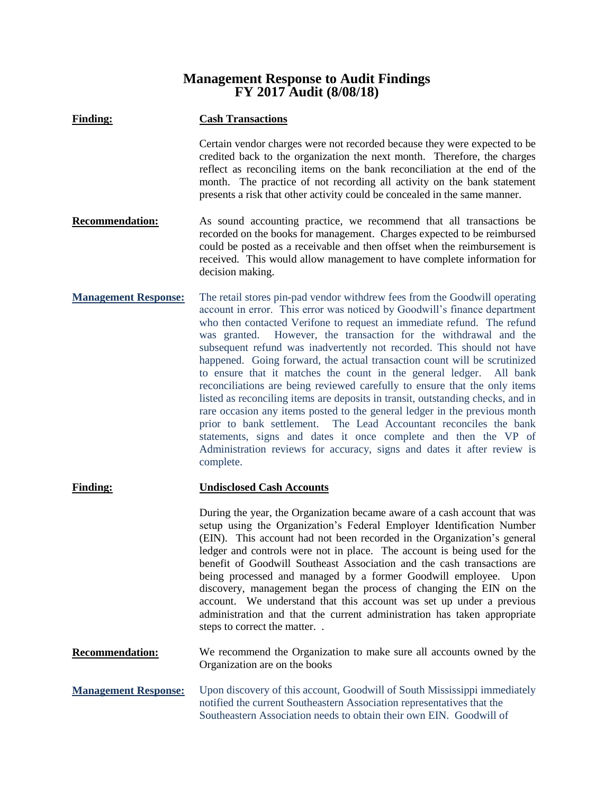## **Management Response to Audit Findings FY 2017 Audit (8/08/18)**

| <b>Finding:</b>             | <b>Cash Transactions</b>                                                                                                                                                                                                                                                                                                                                                                                                                                                                                                                                                                                                                                                                                                                                                                                                                                                                                                                                                                                              |
|-----------------------------|-----------------------------------------------------------------------------------------------------------------------------------------------------------------------------------------------------------------------------------------------------------------------------------------------------------------------------------------------------------------------------------------------------------------------------------------------------------------------------------------------------------------------------------------------------------------------------------------------------------------------------------------------------------------------------------------------------------------------------------------------------------------------------------------------------------------------------------------------------------------------------------------------------------------------------------------------------------------------------------------------------------------------|
|                             | Certain vendor charges were not recorded because they were expected to be<br>credited back to the organization the next month. Therefore, the charges<br>reflect as reconciling items on the bank reconciliation at the end of the<br>month. The practice of not recording all activity on the bank statement<br>presents a risk that other activity could be concealed in the same manner.                                                                                                                                                                                                                                                                                                                                                                                                                                                                                                                                                                                                                           |
| <b>Recommendation:</b>      | As sound accounting practice, we recommend that all transactions be<br>recorded on the books for management. Charges expected to be reimbursed<br>could be posted as a receivable and then offset when the reimbursement is<br>received. This would allow management to have complete information for<br>decision making.                                                                                                                                                                                                                                                                                                                                                                                                                                                                                                                                                                                                                                                                                             |
| <b>Management Response:</b> | The retail stores pin-pad vendor withdrew fees from the Goodwill operating<br>account in error. This error was noticed by Goodwill's finance department<br>who then contacted Verifone to request an immediate refund. The refund<br>was granted. However, the transaction for the withdrawal and the<br>subsequent refund was inadvertently not recorded. This should not have<br>happened. Going forward, the actual transaction count will be scrutinized<br>to ensure that it matches the count in the general ledger. All bank<br>reconciliations are being reviewed carefully to ensure that the only items<br>listed as reconciling items are deposits in transit, outstanding checks, and in<br>rare occasion any items posted to the general ledger in the previous month<br>The Lead Accountant reconciles the bank<br>prior to bank settlement.<br>statements, signs and dates it once complete and then the VP of<br>Administration reviews for accuracy, signs and dates it after review is<br>complete. |
| <b>Finding:</b>             | <b>Undisclosed Cash Accounts</b>                                                                                                                                                                                                                                                                                                                                                                                                                                                                                                                                                                                                                                                                                                                                                                                                                                                                                                                                                                                      |
|                             | During the year, the Organization became aware of a cash account that was<br>setup using the Organization's Federal Employer Identification Number<br>(EIN). This account had not been recorded in the Organization's general<br>ledger and controls were not in place. The account is being used for the<br>benefit of Goodwill Southeast Association and the cash transactions are<br>being processed and managed by a former Goodwill employee.<br>Upon<br>discovery, management began the process of changing the EIN on the<br>account. We understand that this account was set up under a previous<br>administration and that the current administration has taken appropriate<br>steps to correct the matter                                                                                                                                                                                                                                                                                                   |
| <b>Recommendation:</b>      | We recommend the Organization to make sure all accounts owned by the<br>Organization are on the books                                                                                                                                                                                                                                                                                                                                                                                                                                                                                                                                                                                                                                                                                                                                                                                                                                                                                                                 |

**Management Response:** Upon discovery of this account, Goodwill of South Mississippi immediately notified the current Southeastern Association representatives that the Southeastern Association needs to obtain their own EIN. Goodwill of